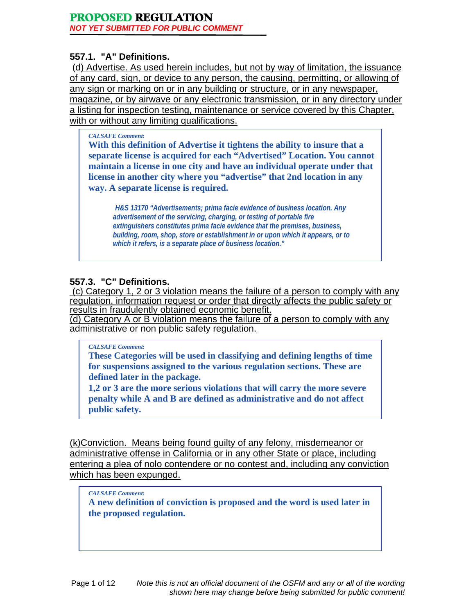# **557.1. "A" Definitions.**

 (d) Advertise. As used herein includes, but not by way of limitation, the issuance of any card, sign, or device to any person, the causing, permitting, or allowing of any sign or marking on or in any building or structure, or in any newspaper, magazine, or by airwave or any electronic transmission, or in any directory under a listing for inspection testing, maintenance or service covered by this Chapter, with or without any limiting qualifications.

#### *CALSAFE Comment***:**

**With this definition of Advertise it tightens the ability to insure that a separate license is acquired for each "Advertised" Location. You cannot maintain a license in one city and have an individual operate under that license in another city where you "advertise" that 2nd location in any way. A separate license is required.** 

*H&S 13170 "Advertisements; prima facie evidence of business location. Any advertisement of the servicing, charging, or testing of portable fire extinguishers constitutes prima facie evidence that the premises, business, building, room, shop, store or establishment in or upon which it appears, or to which it refers, is a separate place of business location."*

# **557.3. "C" Definitions.**

 (c) Category 1, 2 or 3 violation means the failure of a person to comply with any regulation, information request or order that directly affects the public safety or results in fraudulently obtained economic benefit.

(d) Category A or B violation means the failure of a person to comply with any administrative or non public safety regulation.

#### *CALSAFE Comment***:**

**These Categories will be used in classifying and defining lengths of time for suspensions assigned to the various regulation sections. These are defined later in the package.** 

**1,2 or 3 are the more serious violations that will carry the more severe penalty while A and B are defined as administrative and do not affect public safety.** 

(k)Conviction. Means being found guilty of any felony, misdemeanor or administrative offense in California or in any other State or place, including entering a plea of nolo contendere or no contest and, including any conviction which has been expunged.

#### *CALSAFE Comment***:**

**A new definition of conviction is proposed and the word is used later in the proposed regulation.**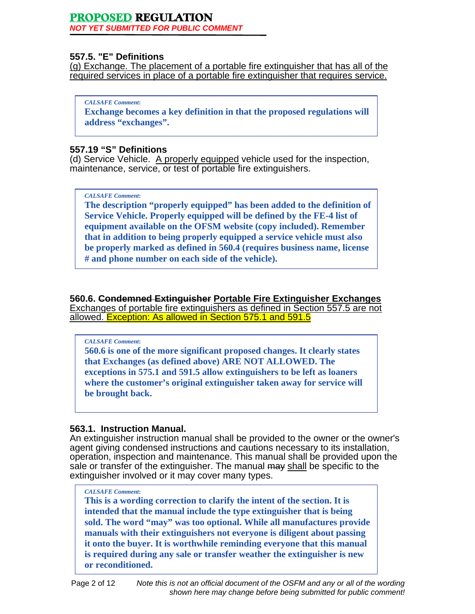*NOT YET SUBMITTED FOR PUBLIC COMMENT* 

# **557.5. "E" Definitions**

(g) Exchange. The placement of a portable fire extinguisher that has all of the required services in place of a portable fire extinguisher that requires service.

*CALSAFE Comment***:** 

**Exchange becomes a key definition in that the proposed regulations will address "exchanges".** 

# **557.19 "S" Definitions**

(d) Service Vehicle. A properly equipped vehicle used for the inspection, maintenance, service, or test of portable fire extinguishers.

## *CALSAFE Comment***:**

**The description "properly equipped" has been added to the definition of Service Vehicle. Properly equipped will be defined by the FE-4 list of equipment available on the OFSM website (copy included). Remember that in addition to being properly equipped a service vehicle must also be properly marked as defined in 560.4 (requires business name, license # and phone number on each side of the vehicle).** 

**560.6. Condemned Extinguisher Portable Fire Extinguisher Exchanges**  Exchanges of portable fire extinguishers as defined in Section 557.5 are not allowed. Exception: As allowed in Section 575.1 and 591.5

#### *CALSAFE Comment***:**

**560.6 is one of the more significant proposed changes. It clearly states that Exchanges (as defined above) ARE NOT ALLOWED. The exceptions in 575.1 and 591.5 allow extinguishers to be left as loaners where the customer's original extinguisher taken away for service will be brought back.** 

# **563.1. Instruction Manual.**

An extinguisher instruction manual shall be provided to the owner or the owner's agent giving condensed instructions and cautions necessary to its installation, operation, inspection and maintenance. This manual shall be provided upon the sale or transfer of the extinguisher. The manual may shall be specific to the extinguisher involved or it may cover many types.

#### *CALSAFE Comment***:**

**This is a wording correction to clarify the intent of the section. It is intended that the manual include the type extinguisher that is being sold. The word "may" was too optional. While all manufactures provide manuals with their extinguishers not everyone is diligent about passing it onto the buyer. It is worthwhile reminding everyone that this manual is required during any sale or transfer weather the extinguisher is new or reconditioned.**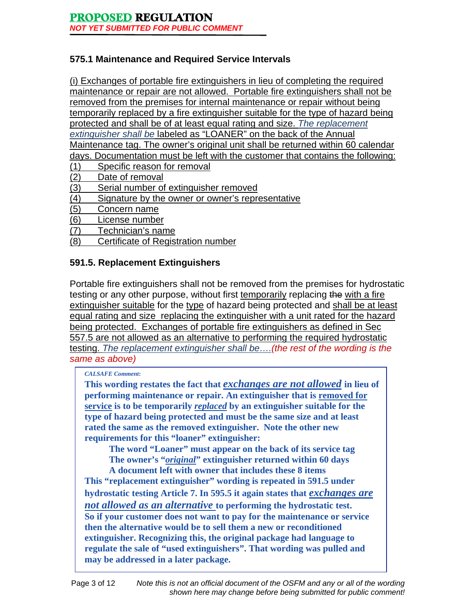# **575.1 Maintenance and Required Service Intervals**

(i) Exchanges of portable fire extinguishers in lieu of completing the required maintenance or repair are not allowed. Portable fire extinguishers shall not be removed from the premises for internal maintenance or repair without being temporarily replaced by a fire extinguisher suitable for the type of hazard being protected and shall be of at least equal rating and size. *The replacement extinguisher shall be* labeled as "LOANER" on the back of the Annual Maintenance tag. The owner's original unit shall be returned within 60 calendar days. Documentation must be left with the customer that contains the following: (1) Specific reason for removal

- (2) Date of removal
- (3) Serial number of extinguisher removed
- (4) Signature by the owner or owner's representative
- (5) Concern name
- (6) License number
- (7) Technician's name
- (8) Certificate of Registration number

# **591.5. Replacement Extinguishers**

Portable fire extinguishers shall not be removed from the premises for hydrostatic testing or any other purpose, without first temporarily replacing the with a fire extinguisher suitable for the type of hazard being protected and shall be at least equal rating and size replacing the extinguisher with a unit rated for the hazard being protected. Exchanges of portable fire extinguishers as defined in Sec 557.5 are not allowed as an alternative to performing the required hydrostatic testing. *The replacement extinguisher shall be….(the rest of the wording is the same as above)*

#### *CALSAFE Comment***:**

**This wording restates the fact that** *exchanges are not allowed* **in lieu of performing maintenance or repair. An extinguisher that is removed for service is to be temporarily** *replaced* **by an extinguisher suitable for the type of hazard being protected and must be the same size and at least rated the same as the removed extinguisher. Note the other new requirements for this "loaner" extinguisher:** 

 **The word "Loaner" must appear on the back of its service tag The owner's "***original***" extinguisher returned within 60 days** 

 **A document left with owner that includes these 8 items This "replacement extinguisher" wording is repeated in 591.5 under hydrostatic testing Article 7. In 595.5 it again states that** *exchanges are not allowed as an alternative* **to performing the hydrostatic test. So if your customer does not want to pay for the maintenance or service then the alternative would be to sell them a new or reconditioned extinguisher. Recognizing this, the original package had language to regulate the sale of "used extinguishers". That wording was pulled and may be addressed in a later package.**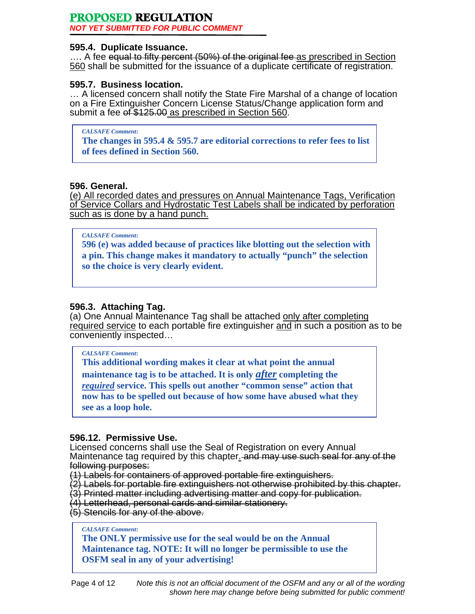*NOT YET SUBMITTED FOR PUBLIC COMMENT* 

#### **595.4. Duplicate Issuance.**

.... A fee equal to fifty percent (50%) of the original fee as prescribed in Section 560 shall be submitted for the issuance of a duplicate certificate of registration.

# **595.7. Business location.**

… A licensed concern shall notify the State Fire Marshal of a change of location on a Fire Extinguisher Concern License Status/Change application form and submit a fee of \$125.00 as prescribed in Section 560.

*CALSAFE Comment***:** 

**The changes in 595.4 & 595.7 are editorial corrections to refer fees to list of fees defined in Section 560.** 

## **596. General.**

(e) All recorded dates and pressures on Annual Maintenance Tags, Verification of Service Collars and Hydrostatic Test Labels shall be indicated by perforation such as is done by a hand punch.

#### *CALSAFE Comment***:**

**596 (e) was added because of practices like blotting out the selection with a pin. This change makes it mandatory to actually "punch" the selection so the choice is very clearly evident.** 

# **596.3. Attaching Tag.**

(a) One Annual Maintenance Tag shall be attached only after completing required service to each portable fire extinguisher and in such a position as to be conveniently inspected…

#### *CALSAFE Comment***:**

**This additional wording makes it clear at what point the annual maintenance tag is to be attached. It is only** *after* **completing the**  *required* **service. This spells out another "common sense" action that now has to be spelled out because of how some have abused what they see as a loop hole.** 

#### **596.12. Permissive Use.**

Licensed concerns shall use the Seal of Registration on every Annual Maintenance tag required by this chapter. and may use such seal for any of the following purposes:

(1) Labels for containers of approved portable fire extinguishers.

(2) Labels for portable fire extinguishers not otherwise prohibited by this chapter.

(3) Printed matter including advertising matter and copy for publication.

(4) Letterhead, personal cards and similar stationery.

(5) Stencils for any of the above.

#### *CALSAFE Comment***:**

**The ONLY permissive use for the seal would be on the Annual Maintenance tag. NOTE: It will no longer be permissible to use the OSFM seal in any of your advertising!**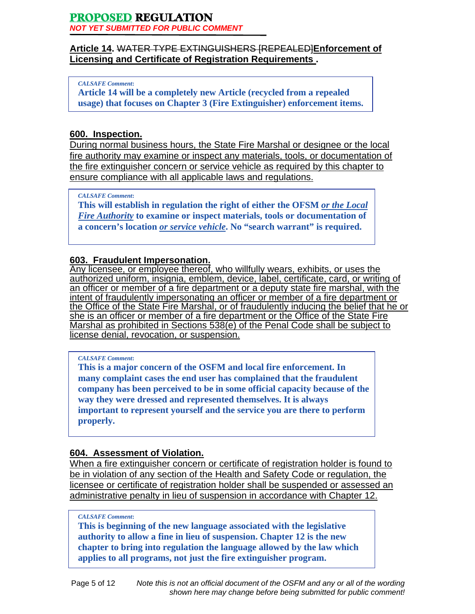# **Article 14.** WATER TYPE EXTINGUISHERS [REPEALED]**Enforcement of Licensing and Certificate of Registration Requirements .**

#### *CALSAFE Comment***:**

**Article 14 will be a completely new Article (recycled from a repealed usage) that focuses on Chapter 3 (Fire Extinguisher) enforcement items.** 

# **600. Inspection.**

During normal business hours, the State Fire Marshal or designee or the local fire authority may examine or inspect any materials, tools, or documentation of the fire extinguisher concern or service vehicle as required by this chapter to ensure compliance with all applicable laws and regulations.

#### *CALSAFE Comment***:**

**This will establish in regulation the right of either the OFSM** *or the Local Fire Authority* **to examine or inspect materials, tools or documentation of a concern's location** *or service vehicle***. No "search warrant" is required.** 

# **603. Fraudulent Impersonation.**

Any licensee, or employee thereof, who willfully wears, exhibits, or uses the authorized uniform, insignia, emblem, device, label, certificate, card, or writing of an officer or member of a fire department or a deputy state fire marshal, with the intent of fraudulently impersonating an officer or member of a fire department or the Office of the State Fire Marshal, or of fraudulently inducing the belief that he or she is an officer or member of a fire department or the Office of the State Fire Marshal as prohibited in Sections 538(e) of the Penal Code shall be subject to license denial, revocation, or suspension.

#### *CALSAFE Comment***:**

**This is a major concern of the OSFM and local fire enforcement. In many complaint cases the end user has complained that the fraudulent company has been perceived to be in some official capacity because of the way they were dressed and represented themselves. It is always important to represent yourself and the service you are there to perform properly.** 

# **604. Assessment of Violation.**

When a fire extinguisher concern or certificate of registration holder is found to be in violation of any section of the Health and Safety Code or regulation, the licensee or certificate of registration holder shall be suspended or assessed an administrative penalty in lieu of suspension in accordance with Chapter 12.

#### *CALSAFE Comment***:**

**This is beginning of the new language associated with the legislative authority to allow a fine in lieu of suspension. Chapter 12 is the new chapter to bring into regulation the language allowed by the law which applies to all programs, not just the fire extinguisher program.**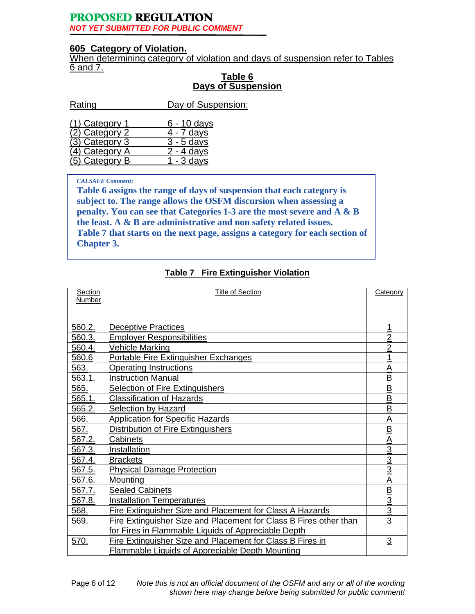## **605 Category of Violation.**

When determining category of violation and days of suspension refer to Tables 6 and 7.

#### **Table 6 Days of Suspension**

| Rating         | Day of Suspension:      |
|----------------|-------------------------|
|                |                         |
| (1) Category 1 | 6 - 10 days             |
| (2) Category 2 | 4 - 7 days              |
| (3) Category 3 | $3 - 5$ days            |
| 4) Category A  | $2 - 4$ days            |
| (5) Category B | $\overline{1}$ - 3 davs |

#### *CALSAFE Comment***:**

**Table 6 assigns the range of days of suspension that each category is subject to. The range allows the OSFM discursion when assessing a penalty. You can see that Categories 1-3 are the most severe and A & B the least. A & B are administrative and non safety related issues. Table 7 that starts on the next page, assigns a category for each section of Chapter 3.** 

# **Table 7 Fire Extinguisher Violation**

| Section | <b>Title of Section</b>                                           | <b>Category</b>          |
|---------|-------------------------------------------------------------------|--------------------------|
| Number  |                                                                   |                          |
|         |                                                                   |                          |
| 560.2.  | <b>Deceptive Practices</b>                                        | 1                        |
| 560.3.  | <b>Employer Responsibilities</b>                                  | $\overline{2}$           |
| 560.4.  | <b>Vehicle Marking</b>                                            | $\overline{2}$           |
| 560.6   | Portable Fire Extinguisher Exchanges                              | 1                        |
| 563.    | <b>Operating Instructions</b>                                     | $\overline{A}$           |
| 563.1.  | <b>Instruction Manual</b>                                         | $\underline{\mathsf{B}}$ |
| 565.    | <b>Selection of Fire Extinguishers</b>                            | $\overline{\mathsf{B}}$  |
| 565.1.  | <b>Classification of Hazards</b>                                  | $\overline{\mathsf{B}}$  |
| 565.2.  | <b>Selection by Hazard</b>                                        | $\overline{\mathsf{B}}$  |
| 566.    | <b>Application for Specific Hazards</b>                           | $\overline{A}$           |
| 567.    | Distribution of Fire Extinguishers                                | $\overline{B}$           |
| 567.2.  | Cabinets                                                          | A                        |
| 567.3.  | Installation                                                      | $\frac{3}{3}$            |
| 567.4.  | <b>Brackets</b>                                                   |                          |
| 567.5.  | <b>Physical Damage Protection</b>                                 | $\overline{3}$           |
| 567.6.  | Mounting                                                          | A                        |
| 567.7.  | <b>Sealed Cabinets</b>                                            |                          |
| 567.8.  | <b>Installation Temperatures</b>                                  |                          |
| 568.    | Fire Extinguisher Size and Placement for Class A Hazards          | $\frac{B}{3}$            |
| 569.    | Fire Extinguisher Size and Placement for Class B Fires other than | $\overline{3}$           |
|         | for Fires in Flammable Liquids of Appreciable Depth               |                          |
| 570.    | Fire Extinguisher Size and Placement for Class B Fires in         | $\overline{3}$           |
|         | Flammable Liquids of Appreciable Depth Mounting                   |                          |

Page 6 of 12 *Note this is not an official document of the OSFM and any or all of the wording shown here may change before being submitted for public comment!*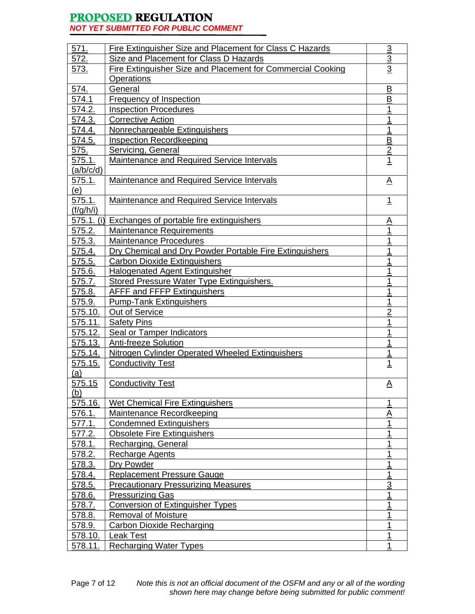*NOT YET SUBMITTED FOR PUBLIC COMMENT* 

| 571.           | Fire Extinguisher Size and Placement for Class C Hazards           | $\overline{3}$          |
|----------------|--------------------------------------------------------------------|-------------------------|
| 572.           | Size and Placement for Class D Hazards                             | $\overline{3}$          |
| 573.           | <b>Fire Extinguisher Size and Placement for Commercial Cooking</b> | $\overline{3}$          |
|                | Operations                                                         |                         |
| 574.           | General                                                            | B                       |
| 574.1          | Frequency of Inspection                                            | $\overline{\mathsf{B}}$ |
| 574.2.         | <b>Inspection Procedures</b>                                       | 1                       |
| 574.3.         | Corrective Action                                                  | <u>1</u>                |
| 574.4.         | Nonrechargeable Extinguishers                                      | $\mathbf 1$             |
| 574.5.         | <b>Inspection Recordkeeping</b>                                    | <u>B</u>                |
| 575.           | <b>Servicing, General</b>                                          | $\overline{2}$          |
| 575.1.         | Maintenance and Required Service Intervals                         | $\overline{1}$          |
| (a/b/c/d)      |                                                                    |                         |
| <u>575.1.</u>  | <b>Maintenance and Required Service Intervals</b>                  | $\Delta$                |
| (e)            |                                                                    |                         |
| 575.1.         | Maintenance and Required Service Intervals                         | $\overline{1}$          |
| (f/g/h/i)      |                                                                    |                         |
|                | 575.1. (i) Exchanges of portable fire extinguishers                | <u>A</u>                |
| 575.2.         | <b>Maintenance Requirements</b>                                    | 1                       |
| 575.3.         | <b>Maintenance Procedures</b>                                      | 1                       |
| 575.4.         | Dry Chemical and Dry Powder Portable Fire Extinguishers            | 1                       |
| 575.5.         | <b>Carbon Dioxide Extinguishers</b>                                | 1                       |
| 575.6.         | <b>Halogenated Agent Extinguisher</b>                              | 1                       |
| <u>575.7.</u>  | <b>Stored Pressure Water Type Extinguishers.</b>                   | 1                       |
| 575.8.         | <b>AFFF and FFFP Extinguishers</b>                                 | <u> 1</u>               |
| 575.9.         | <b>Pump-Tank Extinguishers</b>                                     | 1                       |
| 575.10.        | Out of Service                                                     | $\overline{2}$          |
| 575.11.        | <b>Safety Pins</b>                                                 | 1                       |
| <u>575.12.</u> | <b>Seal or Tamper Indicators</b>                                   | 1                       |
| 575.13.        | <b>Anti-freeze Solution</b>                                        | $\overline{1}$          |
| 575.14.        | Nitrogen Cylinder Operated Wheeled Extinguishers                   | $\overline{1}$          |
| 575.15.        | <b>Conductivity Test</b>                                           | $\overline{1}$          |
| <u>(a)</u>     |                                                                    |                         |
| 575.15         | <b>Conductivity Test</b>                                           | <u>A</u>                |
| (b)            |                                                                    |                         |
| 575.16.        | <b>Wet Chemical Fire Extinguishers</b>                             | 1                       |
| 576.1.         | <b>Maintenance Recordkeeping</b>                                   | <u>A</u>                |
| 577.1.         | <b>Condemned Extinguishers</b>                                     | 1                       |
| 577.2.         | <b>Obsolete Fire Extinguishers</b>                                 | <u>1</u>                |
| 578.1.         | Recharging, General                                                | 1                       |
| <u>578.2.</u>  | <b>Recharge Agents</b>                                             | 1                       |
| 578.3.         | Dry Powder                                                         | 1                       |
| 578.4.         | <b>Replacement Pressure Gauge</b>                                  | 1                       |
| 578.5.         | <b>Precautionary Pressurizing Measures</b>                         | $\overline{3}$          |
| 578.6.         | <b>Pressurizing Gas</b>                                            | 1                       |
| 578.7.         | <b>Conversion of Extinguisher Types</b>                            | 1                       |
| 578.8.         | <b>Removal of Moisture</b>                                         | 1                       |
| 578.9.         | Carbon Dioxide Recharging                                          | 1                       |
| 578.10.        | Leak Test                                                          | 1                       |
| 578.11.        | <b>Recharging Water Types</b>                                      | $\mathbf 1$             |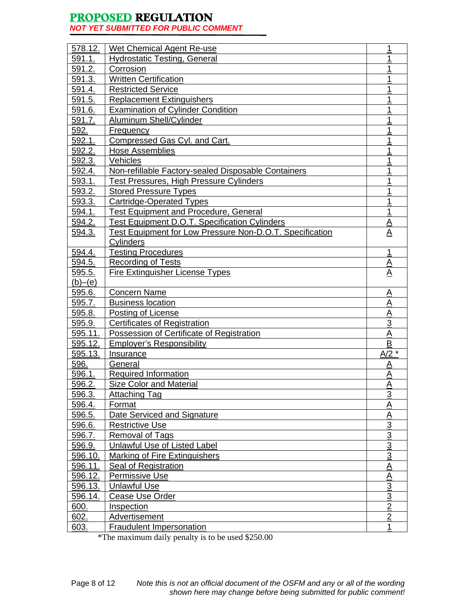*NOT YET SUBMITTED FOR PUBLIC COMMENT* 

| 578.12. | Wet Chemical Agent Re-use                                | 1               |
|---------|----------------------------------------------------------|-----------------|
| 591.1.  | <b>Hydrostatic Testing, General</b>                      | 1               |
| 591.2.  | <b>Corrosion</b>                                         | 1               |
| 591.3.  | <b>Written Certification</b>                             | 1               |
| 591.4.  | <b>Restricted Service</b>                                | 1               |
| 591.5.  | <b>Replacement Extinguishers</b>                         | 1               |
| 591.6.  | <b>Examination of Cylinder Condition</b>                 | 1               |
| 591.7.  | <b>Aluminum Shell/Cylinder</b>                           | 1               |
| 592.    | <b>Frequency</b>                                         | 1               |
| 592.1.  | Compressed Gas Cyl. and Cart.                            | 1               |
| 592.2.  | <b>Hose Assemblies</b>                                   | 1               |
| 592.3.  | Vehicles                                                 | 1               |
| 592.4.  | Non-refillable Factory-sealed Disposable Containers      | 1               |
| 593.1.  | <b>Test Pressures, High Pressure Cylinders</b>           | 1               |
| 593.2.  | <b>Stored Pressure Types</b>                             | 1               |
| 593.3.  | Cartridge-Operated Types                                 | 1               |
| 594.1.  | <b>Test Equipment and Procedure, General</b>             | 1               |
| 594.2.  | <b>Test Equipment D.O.T. Specification Cylinders</b>     | $\underline{A}$ |
| 594.3.  | Test Equipment for Low Pressure Non-D.O.T. Specification | <u>A</u>        |
|         | Cylinders                                                |                 |
| 594.4.  | <b>Testing Procedures</b>                                | $\mathbf 1$     |
| 594.5.  | <b>Recording of Tests</b>                                | <u>A</u>        |
| 595.5.  | <b>Fire Extinguisher License Types</b>                   | $\underline{A}$ |
| (b)–(e) |                                                          |                 |
| 595.6.  | <b>Concern Name</b>                                      | <u>A</u>        |
| 595.7.  | <b>Business location</b>                                 | $\underline{A}$ |
| 595.8.  | Posting of License                                       | $\underline{A}$ |
| 595.9.  | <b>Certificates of Registration</b>                      | $\overline{3}$  |
| 595.11. | Possession of Certificate of Registration                | A               |
| 595.12. | <b>Employer's Responsibility</b>                         | $\overline{B}$  |
| 595.13. | Insurance                                                | $A/2$ *         |
| 596.    | General                                                  | <u>A</u>        |
| 596.1.  | <b>Required Information</b>                              | <u>А</u>        |
| 596.2.  | <b>Size Color and Material</b>                           | Α               |
| 596.3.  | <b>Attaching Tag</b>                                     | $\overline{3}$  |
| 596.4.  | Format                                                   | <u>A</u>        |
| 596.5.  | Date Serviced and Signature                              | <u>A</u>        |
| 596.6.  | <b>Restrictive Use</b>                                   | $\overline{3}$  |
| 596.7.  | Removal of Tags                                          | $\overline{3}$  |
| 596.9.  | Unlawful Use of Listed Label                             |                 |
| 596.10. | Marking of Fire Extinguishers                            | $\frac{3}{3}$   |
| 596.11. | Seal of Registration                                     | $\overline{A}$  |
| 596.12. | Permissive Use                                           | <u>A</u>        |
| 596.13. | <b>Unlawful Use</b>                                      | $\overline{3}$  |
| 596.14. | <b>Cease Use Order</b>                                   |                 |
| 600.    | Inspection                                               | $\frac{3}{2}$   |
| 602.    | <b>Advertisement</b>                                     | $\overline{2}$  |
| 603.    | <b>Fraudulent Impersonation</b>                          | 1               |
|         |                                                          |                 |

\*The maximum daily penalty is to be used \$250.00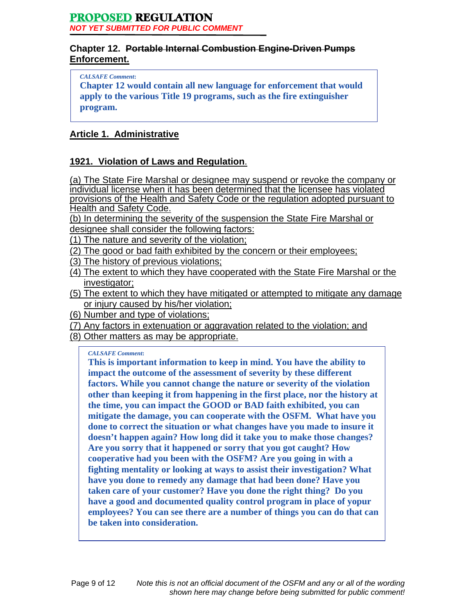# **Chapter 12. Portable Internal Combustion Engine-Driven Pumps Enforcement.**

*CALSAFE Comment***:** 

**Chapter 12 would contain all new language for enforcement that would apply to the various Title 19 programs, such as the fire extinguisher program.** 

# **Article 1. Administrative**

# **1921. Violation of Laws and Regulation**.

(a) The State Fire Marshal or designee may suspend or revoke the company or individual license when it has been determined that the licensee has violated provisions of the Health and Safety Code or the regulation adopted pursuant to Health and Safety Code.

(b) In determining the severity of the suspension the State Fire Marshal or

designee shall consider the following factors:

- (1) The nature and severity of the violation;
- (2) The good or bad faith exhibited by the concern or their employees;
- (3) The history of previous violations;
- (4) The extent to which they have cooperated with the State Fire Marshal or the investigator;
- (5) The extent to which they have mitigated or attempted to mitigate any damage or injury caused by his/her violation;
- (6) Number and type of violations;
- (7) Any factors in extenuation or aggravation related to the violation; and
- (8) Other matters as may be appropriate.

#### *CALSAFE Comment***:**

**This is important information to keep in mind. You have the ability to impact the outcome of the assessment of severity by these different factors. While you cannot change the nature or severity of the violation other than keeping it from happening in the first place, nor the history at the time, you can impact the GOOD or BAD faith exhibited, you can mitigate the damage, you can cooperate with the OSFM. What have you done to correct the situation or what changes have you made to insure it doesn't happen again? How long did it take you to make those changes? Are you sorry that it happened or sorry that you got caught? How cooperative had you been with the OSFM? Are you going in with a fighting mentality or looking at ways to assist their investigation? What have you done to remedy any damage that had been done? Have you taken care of your customer? Have you done the right thing? Do you have a good and documented quality control program in place of yopur employees? You can see there are a number of things you can do that can be taken into consideration.**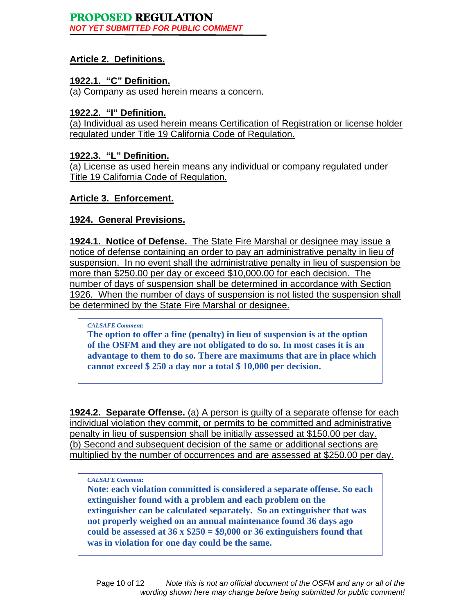# **Article 2. Definitions.**

# **1922.1. "C" Definition.**

(a) Company as used herein means a concern.

## **1922.2. "I" Definition.**

(a) Individual as used herein means Certification of Registration or license holder regulated under Title 19 California Code of Regulation.

# **1922.3. "L" Definition.**

(a) License as used herein means any individual or company regulated under Title 19 California Code of Regulation.

## **Article 3. Enforcement.**

# **1924. General Previsions.**

**1924.1. Notice of Defense.** The State Fire Marshal or designee may issue a notice of defense containing an order to pay an administrative penalty in lieu of suspension. In no event shall the administrative penalty in lieu of suspension be more than \$250.00 per day or exceed \$10,000.00 for each decision. The number of days of suspension shall be determined in accordance with Section 1926. When the number of days of suspension is not listed the suspension shall be determined by the State Fire Marshal or designee.

#### *CALSAFE Comment***:**

**The option to offer a fine (penalty) in lieu of suspension is at the option of the OSFM and they are not obligated to do so. In most cases it is an advantage to them to do so. There are maximums that are in place which cannot exceed \$ 250 a day nor a total \$ 10,000 per decision.** 

**1924.2. Separate Offense.** (a) A person is guilty of a separate offense for each individual violation they commit, or permits to be committed and administrative penalty in lieu of suspension shall be initially assessed at \$150.00 per day. (b) Second and subsequent decision of the same or additional sections are multiplied by the number of occurrences and are assessed at \$250.00 per day.

#### *CALSAFE Comment***:**

**Note: each violation committed is considered a separate offense. So each extinguisher found with a problem and each problem on the extinguisher can be calculated separately. So an extinguisher that was not properly weighed on an annual maintenance found 36 days ago could be assessed at 36 x \$250 = \$9,000 or 36 extinguishers found that was in violation for one day could be the same.**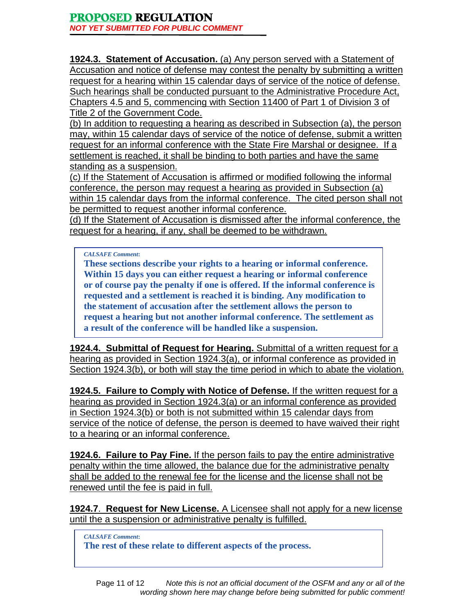**1924.3. Statement of Accusation.** (a) Any person served with a Statement of Accusation and notice of defense may contest the penalty by submitting a written request for a hearing within 15 calendar days of service of the notice of defense. Such hearings shall be conducted pursuant to the Administrative Procedure Act, Chapters 4.5 and 5, commencing with Section 11400 of Part 1 of Division 3 of Title 2 of the Government Code.

(b) In addition to requesting a hearing as described in Subsection (a), the person may, within 15 calendar days of service of the notice of defense, submit a written request for an informal conference with the State Fire Marshal or designee. If a settlement is reached, it shall be binding to both parties and have the same standing as a suspension.

(c) If the Statement of Accusation is affirmed or modified following the informal conference, the person may request a hearing as provided in Subsection (a) within 15 calendar days from the informal conference. The cited person shall not be permitted to request another informal conference.

(d) If the Statement of Accusation is dismissed after the informal conference, the request for a hearing, if any, shall be deemed to be withdrawn.

*CALSAFE Comment***:** 

**These sections describe your rights to a hearing or informal conference. Within 15 days you can either request a hearing or informal conference or of course pay the penalty if one is offered. If the informal conference is requested and a settlement is reached it is binding. Any modification to the statement of accusation after the settlement allows the person to request a hearing but not another informal conference. The settlement as a result of the conference will be handled like a suspension.** 

**1924.4. Submittal of Request for Hearing.** Submittal of a written request for a hearing as provided in Section 1924.3(a), or informal conference as provided in Section 1924.3(b), or both will stay the time period in which to abate the violation.

**1924.5. Failure to Comply with Notice of Defense.** If the written request for a hearing as provided in Section 1924.3(a) or an informal conference as provided in Section 1924.3(b) or both is not submitted within 15 calendar days from service of the notice of defense, the person is deemed to have waived their right to a hearing or an informal conference.

**1924.6. Failure to Pay Fine.** If the person fails to pay the entire administrative penalty within the time allowed, the balance due for the administrative penalty shall be added to the renewal fee for the license and the license shall not be renewed until the fee is paid in full.

**1924.7**. **Request for New License.** A Licensee shall not apply for a new license until the a suspension or administrative penalty is fulfilled.

*CALSAFE Comment***: The rest of these relate to different aspects of the process.**